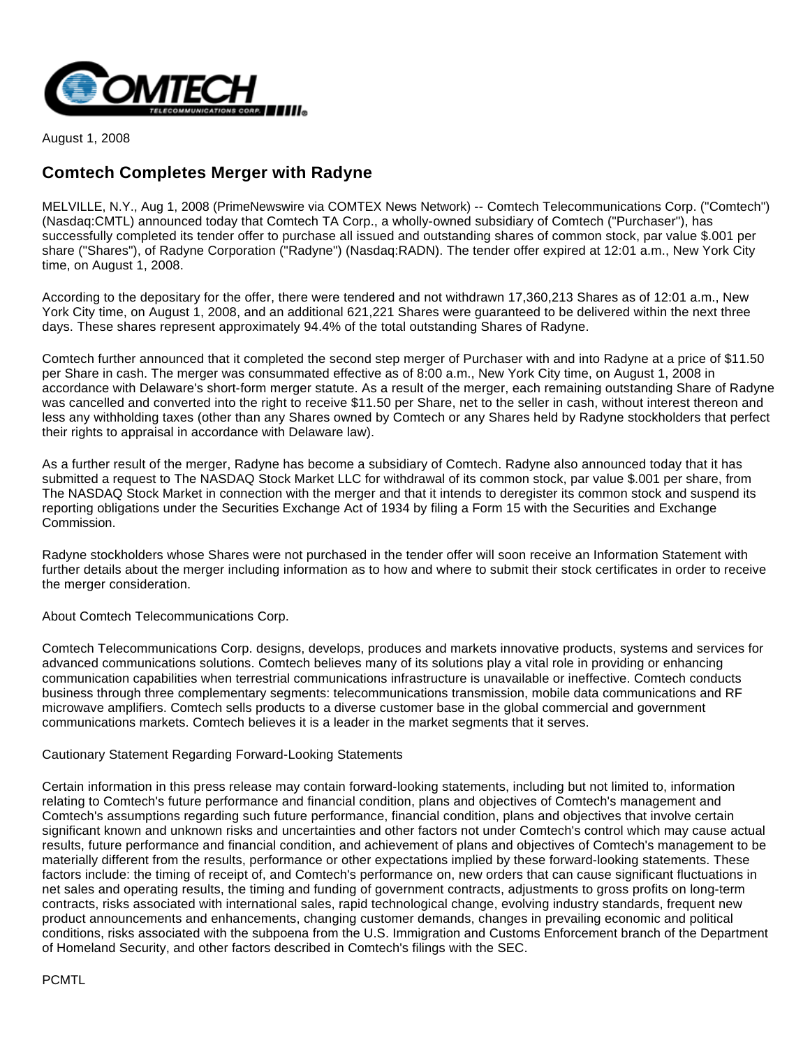

August 1, 2008

## **Comtech Completes Merger with Radyne**

MELVILLE, N.Y., Aug 1, 2008 (PrimeNewswire via COMTEX News Network) -- Comtech Telecommunications Corp. ("Comtech") (Nasdaq:CMTL) announced today that Comtech TA Corp., a wholly-owned subsidiary of Comtech ("Purchaser"), has successfully completed its tender offer to purchase all issued and outstanding shares of common stock, par value \$.001 per share ("Shares"), of Radyne Corporation ("Radyne") (Nasdaq:RADN). The tender offer expired at 12:01 a.m., New York City time, on August 1, 2008.

According to the depositary for the offer, there were tendered and not withdrawn 17,360,213 Shares as of 12:01 a.m., New York City time, on August 1, 2008, and an additional 621,221 Shares were guaranteed to be delivered within the next three days. These shares represent approximately 94.4% of the total outstanding Shares of Radyne.

Comtech further announced that it completed the second step merger of Purchaser with and into Radyne at a price of \$11.50 per Share in cash. The merger was consummated effective as of 8:00 a.m., New York City time, on August 1, 2008 in accordance with Delaware's short-form merger statute. As a result of the merger, each remaining outstanding Share of Radyne was cancelled and converted into the right to receive \$11.50 per Share, net to the seller in cash, without interest thereon and less any withholding taxes (other than any Shares owned by Comtech or any Shares held by Radyne stockholders that perfect their rights to appraisal in accordance with Delaware law).

As a further result of the merger, Radyne has become a subsidiary of Comtech. Radyne also announced today that it has submitted a request to The NASDAQ Stock Market LLC for withdrawal of its common stock, par value \$.001 per share, from The NASDAQ Stock Market in connection with the merger and that it intends to deregister its common stock and suspend its reporting obligations under the Securities Exchange Act of 1934 by filing a Form 15 with the Securities and Exchange Commission.

Radyne stockholders whose Shares were not purchased in the tender offer will soon receive an Information Statement with further details about the merger including information as to how and where to submit their stock certificates in order to receive the merger consideration.

About Comtech Telecommunications Corp.

Comtech Telecommunications Corp. designs, develops, produces and markets innovative products, systems and services for advanced communications solutions. Comtech believes many of its solutions play a vital role in providing or enhancing communication capabilities when terrestrial communications infrastructure is unavailable or ineffective. Comtech conducts business through three complementary segments: telecommunications transmission, mobile data communications and RF microwave amplifiers. Comtech sells products to a diverse customer base in the global commercial and government communications markets. Comtech believes it is a leader in the market segments that it serves.

## Cautionary Statement Regarding Forward-Looking Statements

Certain information in this press release may contain forward-looking statements, including but not limited to, information relating to Comtech's future performance and financial condition, plans and objectives of Comtech's management and Comtech's assumptions regarding such future performance, financial condition, plans and objectives that involve certain significant known and unknown risks and uncertainties and other factors not under Comtech's control which may cause actual results, future performance and financial condition, and achievement of plans and objectives of Comtech's management to be materially different from the results, performance or other expectations implied by these forward-looking statements. These factors include: the timing of receipt of, and Comtech's performance on, new orders that can cause significant fluctuations in net sales and operating results, the timing and funding of government contracts, adjustments to gross profits on long-term contracts, risks associated with international sales, rapid technological change, evolving industry standards, frequent new product announcements and enhancements, changing customer demands, changes in prevailing economic and political conditions, risks associated with the subpoena from the U.S. Immigration and Customs Enforcement branch of the Department of Homeland Security, and other factors described in Comtech's filings with the SEC.